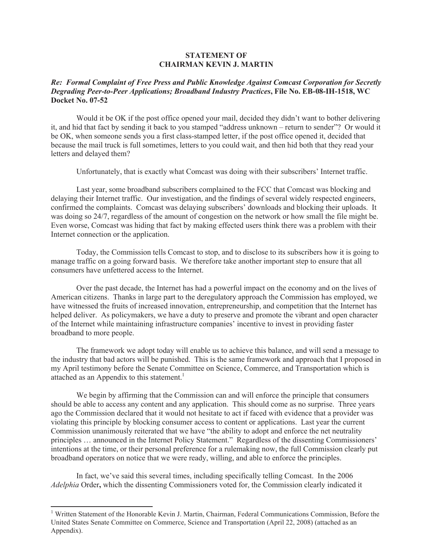## **STATEMENT OF CHAIRMAN KEVIN J. MARTIN**

## *Re: Formal Complaint of Free Press and Public Knowledge Against Comcast Corporation for Secretly Degrading Peer-to-Peer Applications; Broadband Industry Practices***, File No. EB-08-IH-1518, WC Docket No. 07-52**

Would it be OK if the post office opened your mail, decided they didn't want to bother delivering it, and hid that fact by sending it back to you stamped "address unknown – return to sender"? Or would it be OK, when someone sends you a first class-stamped letter, if the post office opened it, decided that because the mail truck is full sometimes, letters to you could wait, and then hid both that they read your letters and delayed them?

Unfortunately, that is exactly what Comcast was doing with their subscribers' Internet traffic.

Last year, some broadband subscribers complained to the FCC that Comcast was blocking and delaying their Internet traffic. Our investigation, and the findings of several widely respected engineers, confirmed the complaints. Comcast was delaying subscribers' downloads and blocking their uploads. It was doing so 24/7, regardless of the amount of congestion on the network or how small the file might be. Even worse, Comcast was hiding that fact by making effected users think there was a problem with their Internet connection or the application.

Today, the Commission tells Comcast to stop, and to disclose to its subscribers how it is going to manage traffic on a going forward basis. We therefore take another important step to ensure that all consumers have unfettered access to the Internet.

Over the past decade, the Internet has had a powerful impact on the economy and on the lives of American citizens. Thanks in large part to the deregulatory approach the Commission has employed, we have witnessed the fruits of increased innovation, entrepreneurship, and competition that the Internet has helped deliver. As policymakers, we have a duty to preserve and promote the vibrant and open character of the Internet while maintaining infrastructure companies' incentive to invest in providing faster broadband to more people.

The framework we adopt today will enable us to achieve this balance, and will send a message to the industry that bad actors will be punished. This is the same framework and approach that I proposed in my April testimony before the Senate Committee on Science, Commerce, and Transportation which is attached as an Appendix to this statement.<sup>1</sup>

We begin by affirming that the Commission can and will enforce the principle that consumers should be able to access any content and any application. This should come as no surprise. Three years ago the Commission declared that it would not hesitate to act if faced with evidence that a provider was violating this principle by blocking consumer access to content or applications. Last year the current Commission unanimously reiterated that we have "the ability to adopt and enforce the net neutrality principles … announced in the Internet Policy Statement." Regardless of the dissenting Commissioners' intentions at the time, or their personal preference for a rulemaking now, the full Commission clearly put broadband operators on notice that we were ready, willing, and able to enforce the principles.

In fact, we've said this several times, including specifically telling Comcast. In the 2006 *Adelphia* Order**,** which the dissenting Commissioners voted for, the Commission clearly indicated it

<sup>&</sup>lt;sup>1</sup> Written Statement of the Honorable Kevin J. Martin, Chairman, Federal Communications Commission, Before the United States Senate Committee on Commerce, Science and Transportation (April 22, 2008) (attached as an Appendix).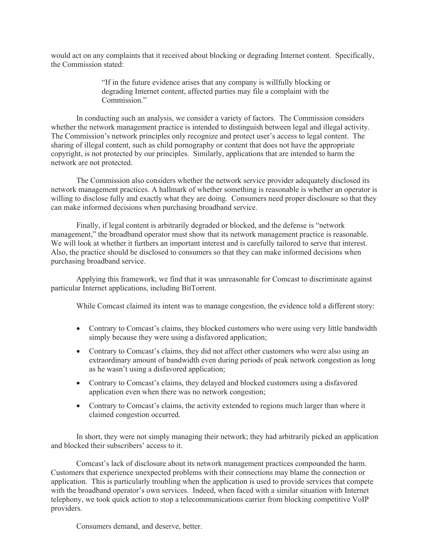would act on any complaints that it received about blocking or degrading Internet content. Specifically, the Commission stated:

> "If in the future evidence arises that any company is willfully blocking or degrading Internet content, affected parties may file a complaint with the Commission<sup>"</sup>

In conducting such an analysis, we consider a variety of factors. The Commission considers whether the network management practice is intended to distinguish between legal and illegal activity. The Commission's network principles only recognize and protect user's access to legal content. The sharing of illegal content, such as child pornography or content that does not have the appropriate copyright, is not protected by our principles. Similarly, applications that are intended to harm the network are not protected.

The Commission also considers whether the network service provider adequately disclosed its network management practices. A hallmark of whether something is reasonable is whether an operator is willing to disclose fully and exactly what they are doing. Consumers need proper disclosure so that they can make informed decisions when purchasing broadband service.

Finally, if legal content is arbitrarily degraded or blocked, and the defense is "network management," the broadband operator must show that its network management practice is reasonable. We will look at whether it furthers an important interest and is carefully tailored to serve that interest. Also, the practice should be disclosed to consumers so that they can make informed decisions when purchasing broadband service.

Applying this framework, we find that it was unreasonable for Comcast to discriminate against particular Internet applications, including BitTorrent.

While Comcast claimed its intent was to manage congestion, the evidence told a different story:

- Contrary to Comcast's claims, they blocked customers who were using very little bandwidth simply because they were using a disfavored application;
- Contrary to Comcast's claims, they did not affect other customers who were also using an extraordinary amount of bandwidth even during periods of peak network congestion as long as he wasn't using a disfavored application;
- Contrary to Comcast's claims, they delayed and blocked customers using a disfavored application even when there was no network congestion;
- Contrary to Comcast's claims, the activity extended to regions much larger than where it claimed congestion occurred.

In short, they were not simply managing their network; they had arbitrarily picked an application and blocked their subscribers' access to it.

Comcast's lack of disclosure about its network management practices compounded the harm. Customers that experience unexpected problems with their connections may blame the connection or application. This is particularly troubling when the application is used to provide services that compete with the broadband operator's own services. Indeed, when faced with a similar situation with Internet telephony, we took quick action to stop a telecommunications carrier from blocking competitive VoIP providers.

Consumers demand, and deserve, better.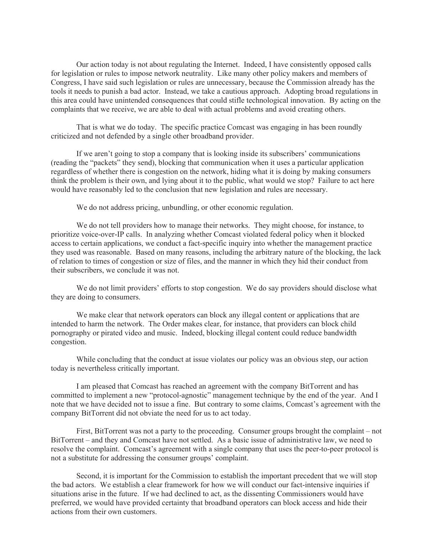Our action today is not about regulating the Internet. Indeed, I have consistently opposed calls for legislation or rules to impose network neutrality. Like many other policy makers and members of Congress, I have said such legislation or rules are unnecessary, because the Commission already has the tools it needs to punish a bad actor. Instead, we take a cautious approach. Adopting broad regulations in this area could have unintended consequences that could stifle technological innovation. By acting on the complaints that we receive, we are able to deal with actual problems and avoid creating others.

That is what we do today. The specific practice Comcast was engaging in has been roundly criticized and not defended by a single other broadband provider.

If we aren't going to stop a company that is looking inside its subscribers' communications (reading the "packets" they send), blocking that communication when it uses a particular application regardless of whether there is congestion on the network, hiding what it is doing by making consumers think the problem is their own, and lying about it to the public, what would we stop? Failure to act here would have reasonably led to the conclusion that new legislation and rules are necessary.

We do not address pricing, unbundling, or other economic regulation.

We do not tell providers how to manage their networks. They might choose, for instance, to prioritize voice-over-IP calls. In analyzing whether Comcast violated federal policy when it blocked access to certain applications, we conduct a fact-specific inquiry into whether the management practice they used was reasonable. Based on many reasons, including the arbitrary nature of the blocking, the lack of relation to times of congestion or size of files, and the manner in which they hid their conduct from their subscribers, we conclude it was not.

We do not limit providers' efforts to stop congestion. We do say providers should disclose what they are doing to consumers.

We make clear that network operators can block any illegal content or applications that are intended to harm the network. The Order makes clear, for instance, that providers can block child pornography or pirated video and music. Indeed, blocking illegal content could reduce bandwidth congestion.

While concluding that the conduct at issue violates our policy was an obvious step, our action today is nevertheless critically important.

I am pleased that Comcast has reached an agreement with the company BitTorrent and has committed to implement a new "protocol-agnostic" management technique by the end of the year. And I note that we have decided not to issue a fine. But contrary to some claims, Comcast's agreement with the company BitTorrent did not obviate the need for us to act today.

First, BitTorrent was not a party to the proceeding. Consumer groups brought the complaint – not BitTorrent – and they and Comcast have not settled. As a basic issue of administrative law, we need to resolve the complaint. Comcast's agreement with a single company that uses the peer-to-peer protocol is not a substitute for addressing the consumer groups' complaint.

Second, it is important for the Commission to establish the important precedent that we will stop the bad actors. We establish a clear framework for how we will conduct our fact-intensive inquiries if situations arise in the future. If we had declined to act, as the dissenting Commissioners would have preferred, we would have provided certainty that broadband operators can block access and hide their actions from their own customers.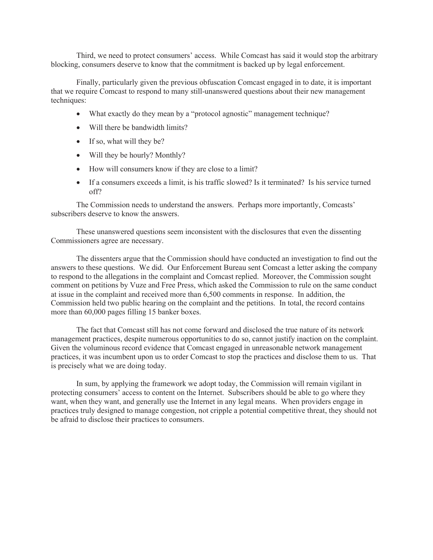Third, we need to protect consumers' access. While Comcast has said it would stop the arbitrary blocking, consumers deserve to know that the commitment is backed up by legal enforcement.

Finally, particularly given the previous obfuscation Comcast engaged in to date, it is important that we require Comcast to respond to many still-unanswered questions about their new management techniques:

- What exactly do they mean by a "protocol agnostic" management technique?
- Will there be bandwidth limits?
- If so, what will they be?
- Will they be hourly? Monthly?
- How will consumers know if they are close to a limit?
- If a consumers exceeds a limit, is his traffic slowed? Is it terminated? Is his service turned off?

The Commission needs to understand the answers. Perhaps more importantly, Comcasts' subscribers deserve to know the answers.

These unanswered questions seem inconsistent with the disclosures that even the dissenting Commissioners agree are necessary.

The dissenters argue that the Commission should have conducted an investigation to find out the answers to these questions. We did. Our Enforcement Bureau sent Comcast a letter asking the company to respond to the allegations in the complaint and Comcast replied. Moreover, the Commission sought comment on petitions by Vuze and Free Press, which asked the Commission to rule on the same conduct at issue in the complaint and received more than 6,500 comments in response. In addition, the Commission held two public hearing on the complaint and the petitions. In total, the record contains more than 60,000 pages filling 15 banker boxes.

The fact that Comcast still has not come forward and disclosed the true nature of its network management practices, despite numerous opportunities to do so, cannot justify inaction on the complaint. Given the voluminous record evidence that Comcast engaged in unreasonable network management practices, it was incumbent upon us to order Comcast to stop the practices and disclose them to us. That is precisely what we are doing today.

In sum, by applying the framework we adopt today, the Commission will remain vigilant in protecting consumers' access to content on the Internet. Subscribers should be able to go where they want, when they want, and generally use the Internet in any legal means. When providers engage in practices truly designed to manage congestion, not cripple a potential competitive threat, they should not be afraid to disclose their practices to consumers.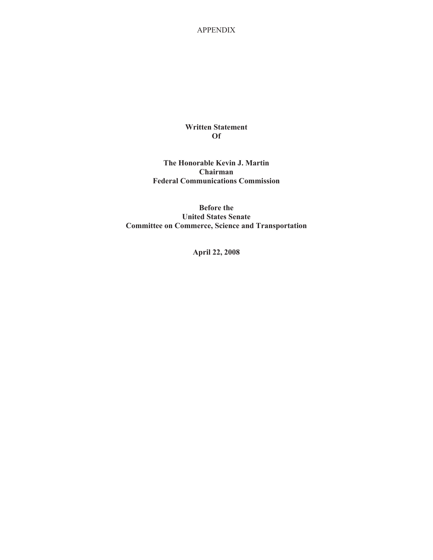## **Written Statement Of**

**The Honorable Kevin J. Martin Chairman Federal Communications Commission**

**Before the United States Senate Committee on Commerce, Science and Transportation**

**April 22, 2008**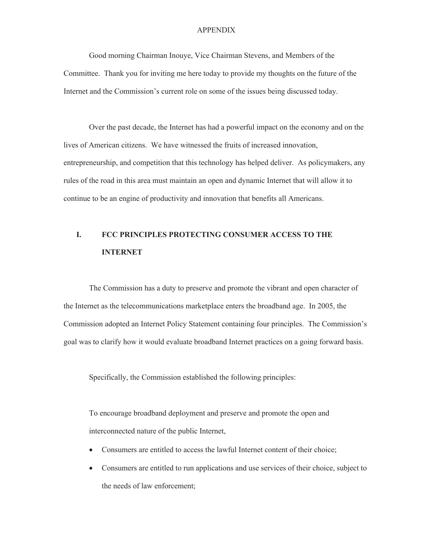Good morning Chairman Inouye, Vice Chairman Stevens, and Members of the Committee. Thank you for inviting me here today to provide my thoughts on the future of the Internet and the Commission's current role on some of the issues being discussed today.

Over the past decade, the Internet has had a powerful impact on the economy and on the lives of American citizens. We have witnessed the fruits of increased innovation, entrepreneurship, and competition that this technology has helped deliver. As policymakers, any rules of the road in this area must maintain an open and dynamic Internet that will allow it to continue to be an engine of productivity and innovation that benefits all Americans.

# **I. FCC PRINCIPLES PROTECTING CONSUMER ACCESS TO THE INTERNET**

The Commission has a duty to preserve and promote the vibrant and open character of the Internet as the telecommunications marketplace enters the broadband age. In 2005, the Commission adopted an Internet Policy Statement containing four principles. The Commission's goal was to clarify how it would evaluate broadband Internet practices on a going forward basis.

Specifically, the Commission established the following principles:

To encourage broadband deployment and preserve and promote the open and interconnected nature of the public Internet,

- Consumers are entitled to access the lawful Internet content of their choice;
- · Consumers are entitled to run applications and use services of their choice, subject to the needs of law enforcement;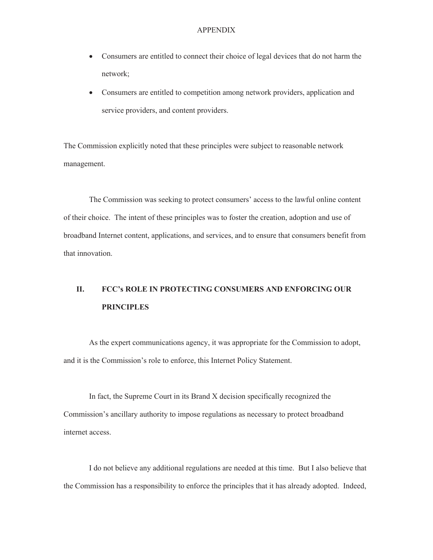- · Consumers are entitled to connect their choice of legal devices that do not harm the network;
- · Consumers are entitled to competition among network providers, application and service providers, and content providers.

The Commission explicitly noted that these principles were subject to reasonable network management.

The Commission was seeking to protect consumers' access to the lawful online content of their choice. The intent of these principles was to foster the creation, adoption and use of broadband Internet content, applications, and services, and to ensure that consumers benefit from that innovation.

# **II. FCC's ROLE IN PROTECTING CONSUMERS AND ENFORCING OUR PRINCIPLES**

As the expert communications agency, it was appropriate for the Commission to adopt, and it is the Commission's role to enforce, this Internet Policy Statement.

In fact, the Supreme Court in its Brand X decision specifically recognized the Commission's ancillary authority to impose regulations as necessary to protect broadband internet access.

I do not believe any additional regulations are needed at this time. But I also believe that the Commission has a responsibility to enforce the principles that it has already adopted. Indeed,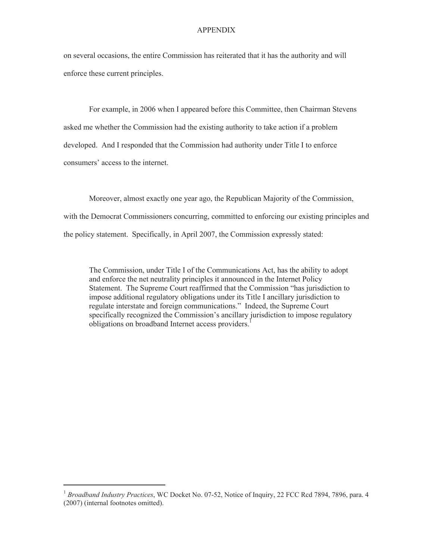on several occasions, the entire Commission has reiterated that it has the authority and will enforce these current principles.

For example, in 2006 when I appeared before this Committee, then Chairman Stevens asked me whether the Commission had the existing authority to take action if a problem developed. And I responded that the Commission had authority under Title I to enforce consumers' access to the internet.

Moreover, almost exactly one year ago, the Republican Majority of the Commission, with the Democrat Commissioners concurring, committed to enforcing our existing principles and the policy statement. Specifically, in April 2007, the Commission expressly stated:

The Commission, under Title I of the Communications Act, has the ability to adopt and enforce the net neutrality principles it announced in the Internet Policy Statement. The Supreme Court reaffirmed that the Commission "has jurisdiction to impose additional regulatory obligations under its Title I ancillary jurisdiction to regulate interstate and foreign communications." Indeed, the Supreme Court specifically recognized the Commission's ancillary jurisdiction to impose regulatory obligations on broadband Internet access providers.<sup>1</sup>

<sup>&</sup>lt;sup>1</sup> Broadband Industry Practices, WC Docket No. 07-52, Notice of Inquiry, 22 FCC Rcd 7894, 7896, para. 4 (2007) (internal footnotes omitted).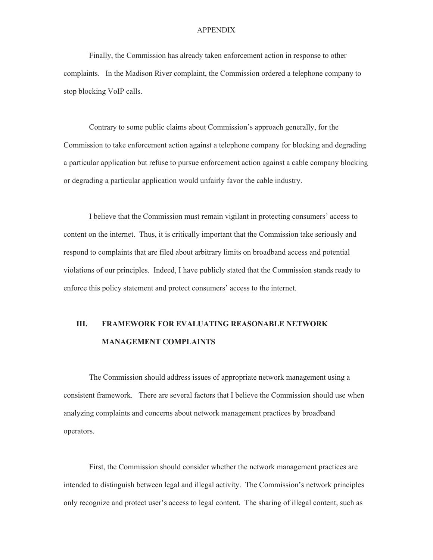Finally, the Commission has already taken enforcement action in response to other complaints. In the Madison River complaint, the Commission ordered a telephone company to stop blocking VoIP calls.

Contrary to some public claims about Commission's approach generally, for the Commission to take enforcement action against a telephone company for blocking and degrading a particular application but refuse to pursue enforcement action against a cable company blocking or degrading a particular application would unfairly favor the cable industry.

I believe that the Commission must remain vigilant in protecting consumers' access to content on the internet. Thus, it is critically important that the Commission take seriously and respond to complaints that are filed about arbitrary limits on broadband access and potential violations of our principles. Indeed, I have publicly stated that the Commission stands ready to enforce this policy statement and protect consumers' access to the internet.

## **III. FRAMEWORK FOR EVALUATING REASONABLE NETWORK MANAGEMENT COMPLAINTS**

The Commission should address issues of appropriate network management using a consistent framework. There are several factors that I believe the Commission should use when analyzing complaints and concerns about network management practices by broadband operators.

First, the Commission should consider whether the network management practices are intended to distinguish between legal and illegal activity. The Commission's network principles only recognize and protect user's access to legal content. The sharing of illegal content, such as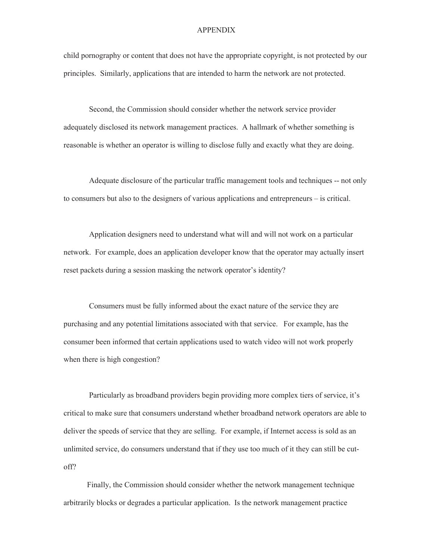child pornography or content that does not have the appropriate copyright, is not protected by our principles. Similarly, applications that are intended to harm the network are not protected.

Second, the Commission should consider whether the network service provider adequately disclosed its network management practices. A hallmark of whether something is reasonable is whether an operator is willing to disclose fully and exactly what they are doing.

Adequate disclosure of the particular traffic management tools and techniques -- not only to consumers but also to the designers of various applications and entrepreneurs – is critical.

Application designers need to understand what will and will not work on a particular network. For example, does an application developer know that the operator may actually insert reset packets during a session masking the network operator's identity?

Consumers must be fully informed about the exact nature of the service they are purchasing and any potential limitations associated with that service. For example, has the consumer been informed that certain applications used to watch video will not work properly when there is high congestion?

Particularly as broadband providers begin providing more complex tiers of service, it's critical to make sure that consumers understand whether broadband network operators are able to deliver the speeds of service that they are selling. For example, if Internet access is sold as an unlimited service, do consumers understand that if they use too much of it they can still be cutoff?

Finally, the Commission should consider whether the network management technique arbitrarily blocks or degrades a particular application. Is the network management practice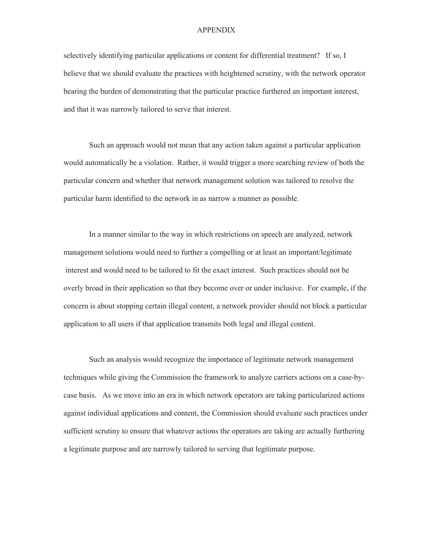selectively identifying particular applications or content for differential treatment? If so, I believe that we should evaluate the practices with heightened scrutiny, with the network operator bearing the burden of demonstrating that the particular practice furthered an important interest, and that it was narrowly tailored to serve that interest.

Such an approach would not mean that any action taken against a particular application would automatically be a violation. Rather, it would trigger a more searching review of both the particular concern and whether that network management solution was tailored to resolve the particular harm identified to the network in as narrow a manner as possible.

In a manner similar to the way in which restrictions on speech are analyzed, network management solutions would need to further a compelling or at least an important/legitimate interest and would need to be tailored to fit the exact interest. Such practices should not be overly broad in their application so that they become over or under inclusive. For example, if the concern is about stopping certain illegal content, a network provider should not block a particular application to all users if that application transmits both legal and illegal content.

Such an analysis would recognize the importance of legitimate network management techniques while giving the Commission the framework to analyze carriers actions on a case-bycase basis. As we move into an era in which network operators are taking particularized actions against individual applications and content, the Commission should evaluate such practices under sufficient scrutiny to ensure that whatever actions the operators are taking are actually furthering a legitimate purpose and are narrowly tailored to serving that legitimate purpose.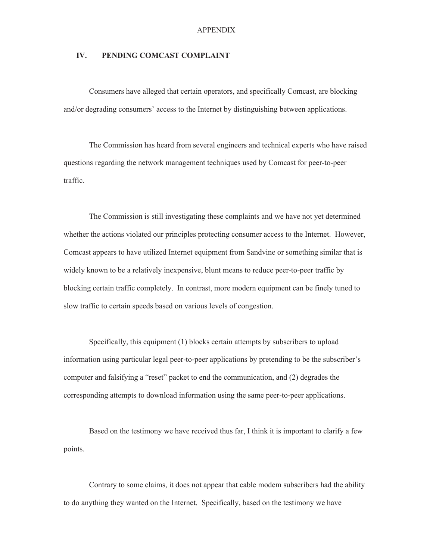## **IV. PENDING COMCAST COMPLAINT**

Consumers have alleged that certain operators, and specifically Comcast, are blocking and/or degrading consumers' access to the Internet by distinguishing between applications.

The Commission has heard from several engineers and technical experts who have raised questions regarding the network management techniques used by Comcast for peer-to-peer traffic.

The Commission is still investigating these complaints and we have not yet determined whether the actions violated our principles protecting consumer access to the Internet. However, Comcast appears to have utilized Internet equipment from Sandvine or something similar that is widely known to be a relatively inexpensive, blunt means to reduce peer-to-peer traffic by blocking certain traffic completely. In contrast, more modern equipment can be finely tuned to slow traffic to certain speeds based on various levels of congestion.

Specifically, this equipment (1) blocks certain attempts by subscribers to upload information using particular legal peer-to-peer applications by pretending to be the subscriber's computer and falsifying a "reset" packet to end the communication, and (2) degrades the corresponding attempts to download information using the same peer-to-peer applications.

Based on the testimony we have received thus far, I think it is important to clarify a few points.

Contrary to some claims, it does not appear that cable modem subscribers had the ability to do anything they wanted on the Internet. Specifically, based on the testimony we have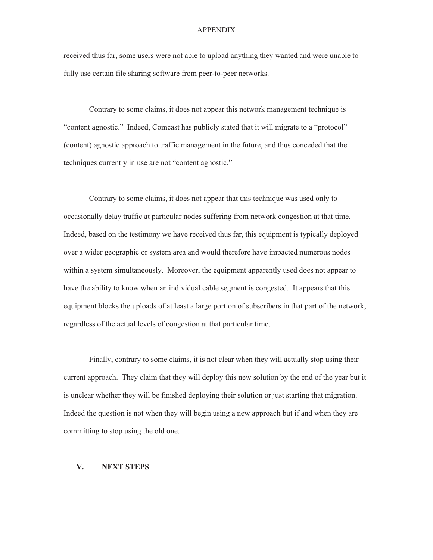received thus far, some users were not able to upload anything they wanted and were unable to fully use certain file sharing software from peer-to-peer networks.

Contrary to some claims, it does not appear this network management technique is "content agnostic." Indeed, Comcast has publicly stated that it will migrate to a "protocol" (content) agnostic approach to traffic management in the future, and thus conceded that the techniques currently in use are not "content agnostic."

Contrary to some claims, it does not appear that this technique was used only to occasionally delay traffic at particular nodes suffering from network congestion at that time. Indeed, based on the testimony we have received thus far, this equipment is typically deployed over a wider geographic or system area and would therefore have impacted numerous nodes within a system simultaneously. Moreover, the equipment apparently used does not appear to have the ability to know when an individual cable segment is congested. It appears that this equipment blocks the uploads of at least a large portion of subscribers in that part of the network, regardless of the actual levels of congestion at that particular time.

Finally, contrary to some claims, it is not clear when they will actually stop using their current approach. They claim that they will deploy this new solution by the end of the year but it is unclear whether they will be finished deploying their solution or just starting that migration. Indeed the question is not when they will begin using a new approach but if and when they are committing to stop using the old one.

## **V. NEXT STEPS**